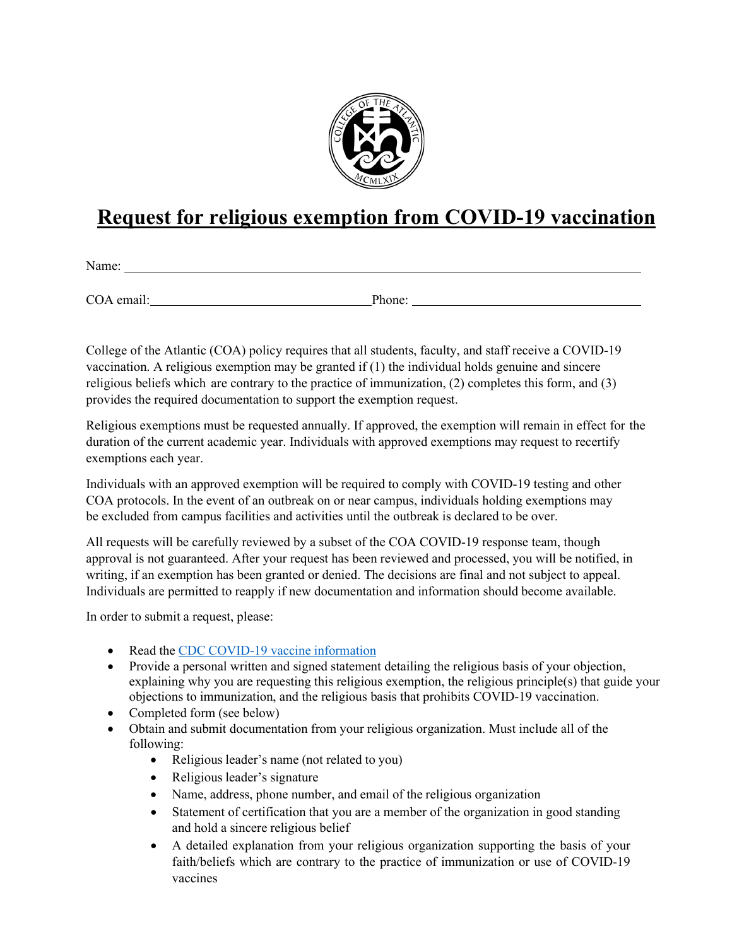

## **Request for religious exemption from COVID-19 vaccination**

Name:

COA email: Phone:

College of the Atlantic (COA) policy requires that all students, faculty, and staff receive a COVID-19 vaccination. A religious exemption may be granted if (1) the individual holds genuine and sincere religious beliefs which are contrary to the practice of immunization, (2) completes this form, and (3) provides the required documentation to support the exemption request.

Religious exemptions must be requested annually. If approved, the exemption will remain in effect for the duration of the current academic year. Individuals with approved exemptions may request to recertify exemptions each year.

Individuals with an approved exemption will be required to comply with COVID-19 testing and other COA protocols. In the event of an outbreak on or near campus, individuals holding exemptions may be excluded from campus facilities and activities until the outbreak is declared to be over.

All requests will be carefully reviewed by a subset of the COA COVID-19 response team, though approval is not guaranteed. After your request has been reviewed and processed, you will be notified, in writing, if an exemption has been granted or denied. The decisions are final and not subject to appeal. Individuals are permitted to reapply if new documentation and information should become available.

In order to submit a request, please:

- Read the CDC COVID-19 vaccine [information](https://www.cdc.gov/coronavirus/2019-ncov/vaccines/keythingstoknow.html?s_cid=10496%3Acovid%2019%20vaccine%20information%3Asem.ga%3Ap%3ARG%3AGM%3Agen%3APTN%3AFY21)
- Provide a personal written and signed statement detailing the religious basis of your objection, explaining why you are requesting this religious exemption, the religious principle(s) that guide your objections to immunization, and the religious basis that prohibits COVID-19 vaccination.
- Completed form (see below)
- Obtain and submit documentation from your religious organization. Must include all of the following:
	- Religious leader's name (not related to you)
	- Religious leader's signature
	- Name, address, phone number, and email of the religious organization
	- Statement of certification that you are a member of the organization in good standing and hold a sincere religious belief
	- A detailed explanation from your religious organization supporting the basis of your faith/beliefs which are contrary to the practice of immunization or use of COVID-19 vaccines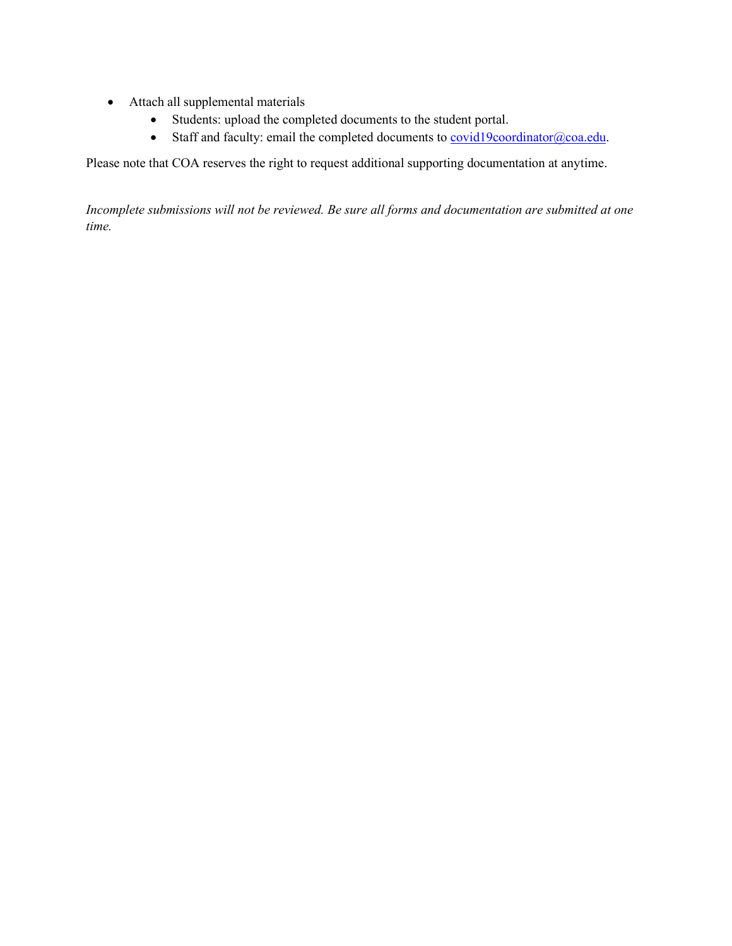- Attach all supplemental materials
	- Students: upload the completed documents to the student portal.
	- Staff and faculty: email the completed documents to **covid19coordinator@coa.edu**.

Please note that COA reserves the right to request additional supporting documentation at anytime.

*Incomplete submissions will not be reviewed. Be sure all forms and documentation are submitted at one time.*